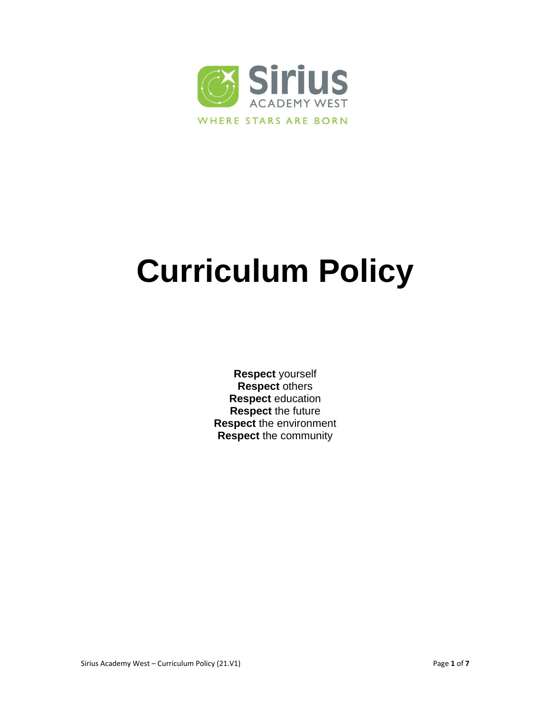

# **Curriculum Policy**

**Respect** yourself **Respect** others **Respect** education **Respect** the future **Respect** the environment **Respect** the community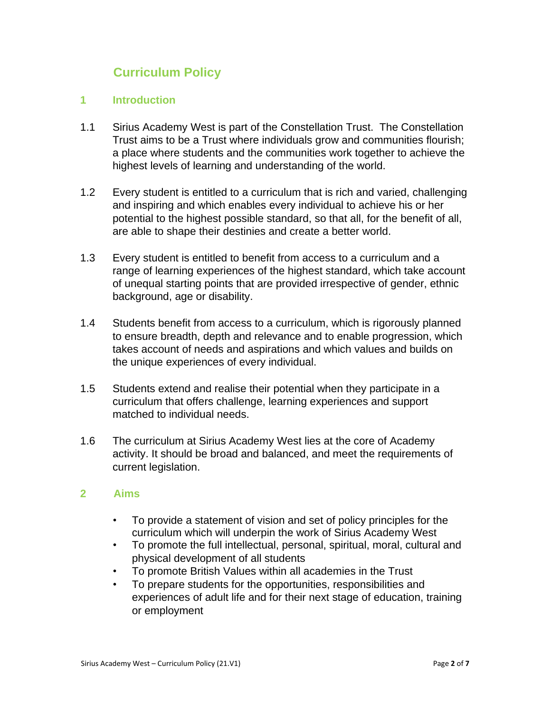# **Curriculum Policy**

#### **1 Introduction**

- 1.1 Sirius Academy West is part of the Constellation Trust. The Constellation Trust aims to be a Trust where individuals grow and communities flourish; a place where students and the communities work together to achieve the highest levels of learning and understanding of the world.
- 1.2 Every student is entitled to a curriculum that is rich and varied, challenging and inspiring and which enables every individual to achieve his or her potential to the highest possible standard, so that all, for the benefit of all, are able to shape their destinies and create a better world.
- 1.3 Every student is entitled to benefit from access to a curriculum and a range of learning experiences of the highest standard, which take account of unequal starting points that are provided irrespective of gender, ethnic background, age or disability.
- 1.4 Students benefit from access to a curriculum, which is rigorously planned to ensure breadth, depth and relevance and to enable progression, which takes account of needs and aspirations and which values and builds on the unique experiences of every individual.
- 1.5 Students extend and realise their potential when they participate in a curriculum that offers challenge, learning experiences and support matched to individual needs.
- 1.6 The curriculum at Sirius Academy West lies at the core of Academy activity. It should be broad and balanced, and meet the requirements of current legislation.

#### **2 Aims**

- To provide a statement of vision and set of policy principles for the curriculum which will underpin the work of Sirius Academy West
- To promote the full intellectual, personal, spiritual, moral, cultural and physical development of all students
- To promote British Values within all academies in the Trust
- To prepare students for the opportunities, responsibilities and experiences of adult life and for their next stage of education, training or employment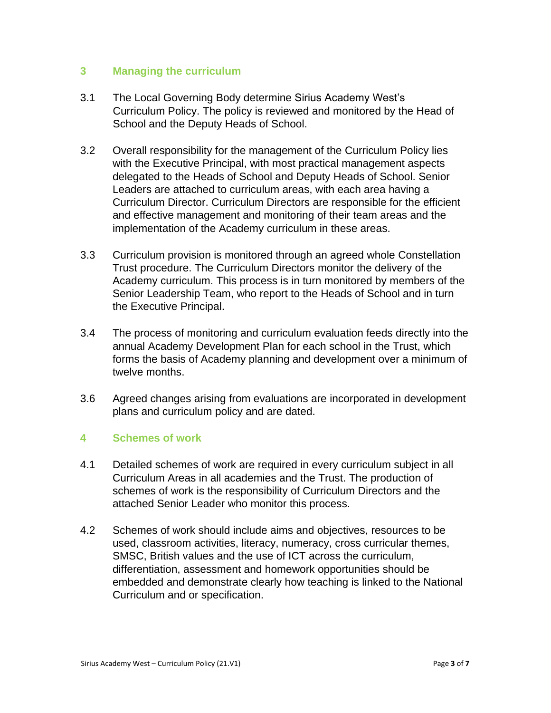#### **3 Managing the curriculum**

- 3.1 The Local Governing Body determine Sirius Academy West's Curriculum Policy. The policy is reviewed and monitored by the Head of School and the Deputy Heads of School.
- 3.2 Overall responsibility for the management of the Curriculum Policy lies with the Executive Principal, with most practical management aspects delegated to the Heads of School and Deputy Heads of School. Senior Leaders are attached to curriculum areas, with each area having a Curriculum Director. Curriculum Directors are responsible for the efficient and effective management and monitoring of their team areas and the implementation of the Academy curriculum in these areas.
- 3.3 Curriculum provision is monitored through an agreed whole Constellation Trust procedure. The Curriculum Directors monitor the delivery of the Academy curriculum. This process is in turn monitored by members of the Senior Leadership Team, who report to the Heads of School and in turn the Executive Principal.
- 3.4 The process of monitoring and curriculum evaluation feeds directly into the annual Academy Development Plan for each school in the Trust, which forms the basis of Academy planning and development over a minimum of twelve months.
- 3.6 Agreed changes arising from evaluations are incorporated in development plans and curriculum policy and are dated.

# **4 Schemes of work**

- 4.1 Detailed schemes of work are required in every curriculum subject in all Curriculum Areas in all academies and the Trust. The production of schemes of work is the responsibility of Curriculum Directors and the attached Senior Leader who monitor this process.
- 4.2 Schemes of work should include aims and objectives, resources to be used, classroom activities, literacy, numeracy, cross curricular themes, SMSC, British values and the use of ICT across the curriculum, differentiation, assessment and homework opportunities should be embedded and demonstrate clearly how teaching is linked to the National Curriculum and or specification.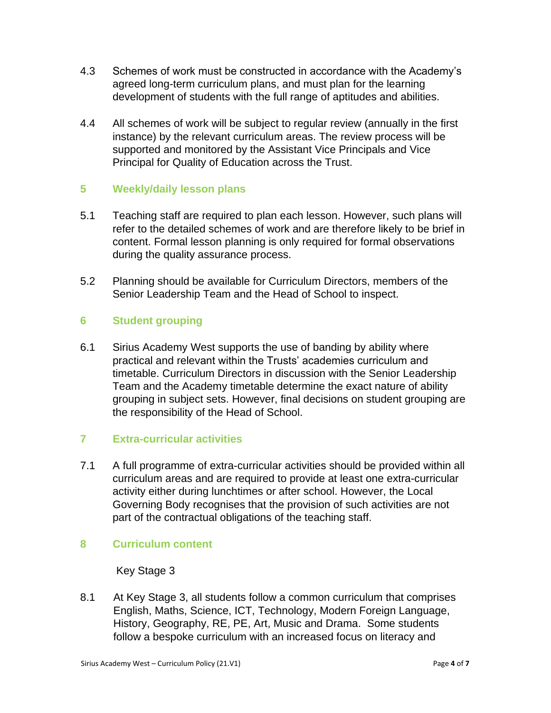- 4.3 Schemes of work must be constructed in accordance with the Academy's agreed long-term curriculum plans, and must plan for the learning development of students with the full range of aptitudes and abilities.
- 4.4 All schemes of work will be subject to regular review (annually in the first instance) by the relevant curriculum areas. The review process will be supported and monitored by the Assistant Vice Principals and Vice Principal for Quality of Education across the Trust.

# **5 Weekly/daily lesson plans**

- 5.1 Teaching staff are required to plan each lesson. However, such plans will refer to the detailed schemes of work and are therefore likely to be brief in content. Formal lesson planning is only required for formal observations during the quality assurance process.
- 5.2 Planning should be available for Curriculum Directors, members of the Senior Leadership Team and the Head of School to inspect.

# **6 Student grouping**

6.1 Sirius Academy West supports the use of banding by ability where practical and relevant within the Trusts' academies curriculum and timetable. Curriculum Directors in discussion with the Senior Leadership Team and the Academy timetable determine the exact nature of ability grouping in subject sets. However, final decisions on student grouping are the responsibility of the Head of School.

# **7 Extra-curricular activities**

7.1 A full programme of extra-curricular activities should be provided within all curriculum areas and are required to provide at least one extra-curricular activity either during lunchtimes or after school. However, the Local Governing Body recognises that the provision of such activities are not part of the contractual obligations of the teaching staff.

# **8 Curriculum content**

#### Key Stage 3

8.1 At Key Stage 3, all students follow a common curriculum that comprises English, Maths, Science, ICT, Technology, Modern Foreign Language, History, Geography, RE, PE, Art, Music and Drama. Some students follow a bespoke curriculum with an increased focus on literacy and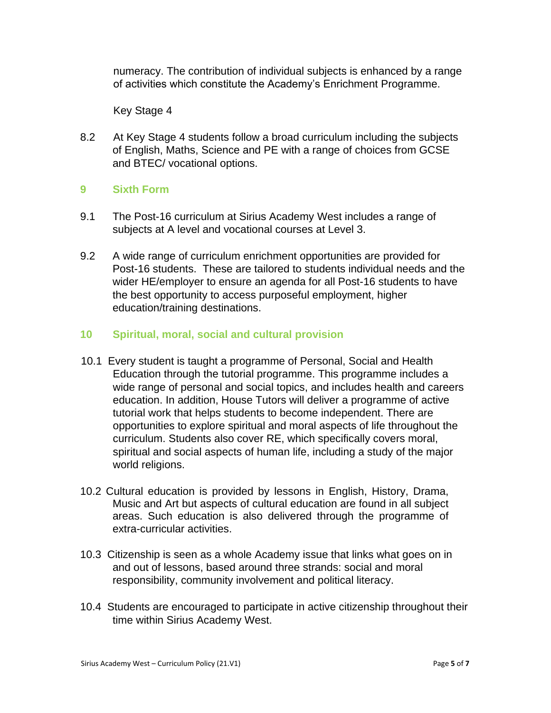numeracy. The contribution of individual subjects is enhanced by a range of activities which constitute the Academy's Enrichment Programme.

Key Stage 4

8.2 At Key Stage 4 students follow a broad curriculum including the subjects of English, Maths, Science and PE with a range of choices from GCSE and BTEC/ vocational options.

#### **9 Sixth Form**

- 9.1 The Post-16 curriculum at Sirius Academy West includes a range of subjects at A level and vocational courses at Level 3.
- 9.2 A wide range of curriculum enrichment opportunities are provided for Post-16 students. These are tailored to students individual needs and the wider HE/employer to ensure an agenda for all Post-16 students to have the best opportunity to access purposeful employment, higher education/training destinations.

#### **10 Spiritual, moral, social and cultural provision**

- 10.1 Every student is taught a programme of Personal, Social and Health Education through the tutorial programme. This programme includes a wide range of personal and social topics, and includes health and careers education. In addition, House Tutors will deliver a programme of active tutorial work that helps students to become independent. There are opportunities to explore spiritual and moral aspects of life throughout the curriculum. Students also cover RE, which specifically covers moral, spiritual and social aspects of human life, including a study of the major world religions.
- 10.2 Cultural education is provided by lessons in English, History, Drama, Music and Art but aspects of cultural education are found in all subject areas. Such education is also delivered through the programme of extra-curricular activities.
- 10.3 Citizenship is seen as a whole Academy issue that links what goes on in and out of lessons, based around three strands: social and moral responsibility, community involvement and political literacy.
- 10.4 Students are encouraged to participate in active citizenship throughout their time within Sirius Academy West.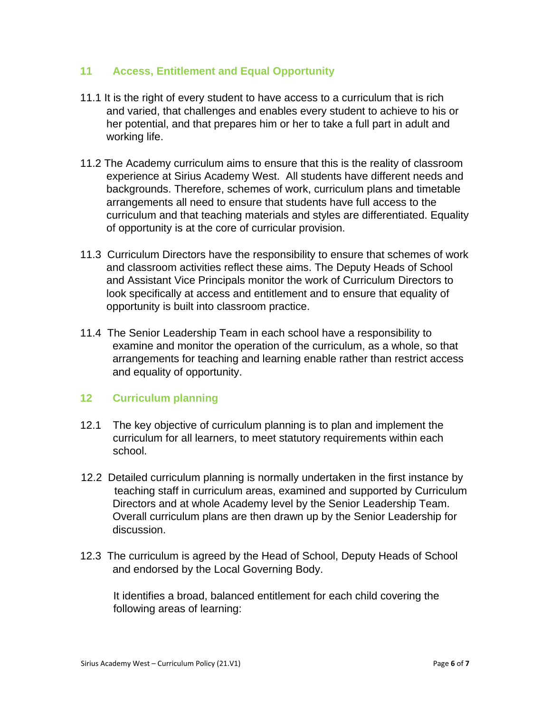#### **11 Access, Entitlement and Equal Opportunity**

- 11.1 It is the right of every student to have access to a curriculum that is rich and varied, that challenges and enables every student to achieve to his or her potential, and that prepares him or her to take a full part in adult and working life.
- 11.2 The Academy curriculum aims to ensure that this is the reality of classroom experience at Sirius Academy West. All students have different needs and backgrounds. Therefore, schemes of work, curriculum plans and timetable arrangements all need to ensure that students have full access to the curriculum and that teaching materials and styles are differentiated. Equality of opportunity is at the core of curricular provision.
- 11.3 Curriculum Directors have the responsibility to ensure that schemes of work and classroom activities reflect these aims. The Deputy Heads of School and Assistant Vice Principals monitor the work of Curriculum Directors to look specifically at access and entitlement and to ensure that equality of opportunity is built into classroom practice.
- 11.4 The Senior Leadership Team in each school have a responsibility to examine and monitor the operation of the curriculum, as a whole, so that arrangements for teaching and learning enable rather than restrict access and equality of opportunity.

# **12 Curriculum planning**

- 12.1 The key objective of curriculum planning is to plan and implement the curriculum for all learners, to meet statutory requirements within each school.
- 12.2 Detailed curriculum planning is normally undertaken in the first instance by teaching staff in curriculum areas, examined and supported by Curriculum Directors and at whole Academy level by the Senior Leadership Team. Overall curriculum plans are then drawn up by the Senior Leadership for discussion.
- 12.3 The curriculum is agreed by the Head of School, Deputy Heads of School and endorsed by the Local Governing Body.

It identifies a broad, balanced entitlement for each child covering the following areas of learning: